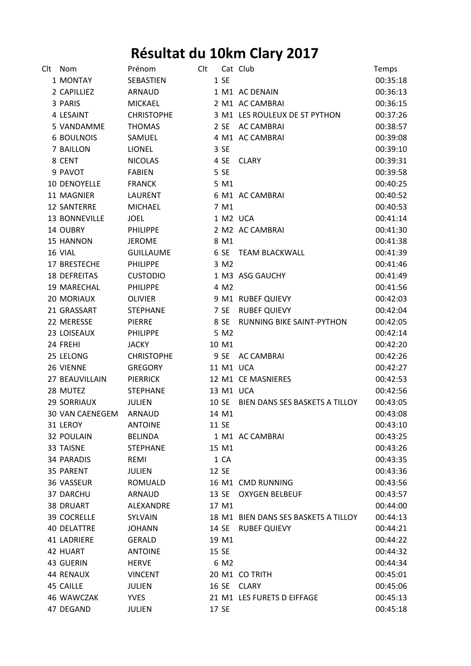## **Résultat du 10km Clary 2017**

| Clt | Nom                    | Prénom            | Clt |           | Cat Club                             | Temps    |
|-----|------------------------|-------------------|-----|-----------|--------------------------------------|----------|
|     | 1 MONTAY               | SEBASTIEN         |     | 1 SE      |                                      | 00:35:18 |
|     | 2 CAPILLIEZ            | ARNAUD            |     |           | 1 M1 AC DENAIN                       | 00:36:13 |
|     | 3 PARIS                | <b>MICKAEL</b>    |     |           | 2 M1 AC CAMBRAI                      | 00:36:15 |
|     | 4 LESAINT              | <b>CHRISTOPHE</b> |     |           | 3 M1 LES ROULEUX DE ST PYTHON        | 00:37:26 |
|     | 5 VANDAMME             | <b>THOMAS</b>     |     |           | 2 SE AC CAMBRAI                      | 00:38:57 |
|     | <b>6 BOULNOIS</b>      | SAMUEL            |     |           | 4 M1 AC CAMBRAI                      | 00:39:08 |
|     | 7 BAILLON              | <b>LIONEL</b>     |     | 3 SE      |                                      | 00:39:10 |
|     | 8 CENT                 | <b>NICOLAS</b>    |     | 4 SE      | <b>CLARY</b>                         | 00:39:31 |
|     | 9 PAVOT                | <b>FABIEN</b>     |     | 5 SE      |                                      | 00:39:58 |
|     | <b>10 DENOYELLE</b>    | <b>FRANCK</b>     |     | 5 M1      |                                      | 00:40:25 |
|     | 11 MAGNIER             | LAURENT           |     |           | 6 M1 AC CAMBRAI                      | 00:40:52 |
|     | <b>12 SANTERRE</b>     | <b>MICHAEL</b>    |     | 7 M1      |                                      | 00:40:53 |
|     | 13 BONNEVILLE          | <b>JOEL</b>       |     | 1 M2 UCA  |                                      | 00:41:14 |
|     | 14 OUBRY               | <b>PHILIPPE</b>   |     |           | 2 M2 AC CAMBRAI                      | 00:41:30 |
|     | <b>15 HANNON</b>       | <b>JEROME</b>     |     | 8 M1      |                                      | 00:41:38 |
|     | 16 VIAL                | <b>GUILLAUME</b>  |     |           | 6 SE TEAM BLACKWALL                  | 00:41:39 |
|     | 17 BRESTECHE           | <b>PHILIPPE</b>   |     | 3 M2      |                                      | 00:41:46 |
|     | <b>18 DEFREITAS</b>    | <b>CUSTODIO</b>   |     |           | 1 M3 ASG GAUCHY                      | 00:41:49 |
|     | 19 MARECHAL            | <b>PHILIPPE</b>   |     | 4 M2      |                                      | 00:41:56 |
|     | 20 MORIAUX             | <b>OLIVIER</b>    |     |           | 9 M1 RUBEF QUIEVY                    | 00:42:03 |
|     | 21 GRASSART            | <b>STEPHANE</b>   |     | 7 SE      | <b>RUBEF QUIEVY</b>                  | 00:42:04 |
|     | 22 MERESSE             | <b>PIERRE</b>     |     | 8 SE      | RUNNING BIKE SAINT-PYTHON            | 00:42:05 |
|     | 23 LOISEAUX            | <b>PHILIPPE</b>   |     | 5 M2      |                                      | 00:42:14 |
|     | 24 FREHI               | <b>JACKY</b>      |     | 10 M1     |                                      | 00:42:20 |
|     | 25 LELONG              | <b>CHRISTOPHE</b> |     | 9 SE      | <b>AC CAMBRAI</b>                    | 00:42:26 |
|     | 26 VIENNE              | <b>GREGORY</b>    |     | 11 M1 UCA |                                      | 00:42:27 |
|     | 27 BEAUVILLAIN         | <b>PIERRICK</b>   |     |           | 12 M1 CE MASNIERES                   | 00:42:53 |
|     | 28 MUTEZ               | <b>STEPHANE</b>   |     | 13 M1 UCA |                                      | 00:42:56 |
|     | <b>29 SORRIAUX</b>     | <b>JULIEN</b>     |     | 10 SE     | BIEN DANS SES BASKETS A TILLOY       | 00:43:05 |
|     | <b>30 VAN CAENEGEM</b> | <b>ARNAUD</b>     |     | 14 M1     |                                      | 00:43:08 |
|     | 31 LEROY               | <b>ANTOINE</b>    |     | 11 SE     |                                      | 00:43:10 |
|     | <b>32 POULAIN</b>      | <b>BELINDA</b>    |     |           | 1 M1 AC CAMBRAI                      | 00:43:25 |
|     | 33 TAISNE              | <b>STEPHANE</b>   |     | 15 M1     |                                      | 00:43:26 |
|     | <b>34 PARADIS</b>      | REMI              |     | 1 CA      |                                      | 00:43:35 |
|     | 35 PARENT              | <b>JULIEN</b>     |     | 12 SE     |                                      | 00:43:36 |
|     | 36 VASSEUR             | ROMUALD           |     |           | 16 M1 CMD RUNNING                    | 00:43:56 |
|     | 37 DARCHU              | ARNAUD            |     |           | 13 SE OXYGEN BELBEUF                 | 00:43:57 |
|     | <b>38 DRUART</b>       | ALEXANDRE         |     | 17 M1     |                                      | 00:44:00 |
|     | 39 COCRELLE            | SYLVAIN           |     |           | 18 M1 BIEN DANS SES BASKETS A TILLOY | 00:44:13 |
|     | <b>40 DELATTRE</b>     | <b>JOHANN</b>     |     | 14 SE     | <b>RUBEF QUIEVY</b>                  | 00:44:21 |
|     | <b>41 LADRIERE</b>     | <b>GERALD</b>     |     | 19 M1     |                                      | 00:44:22 |
|     | 42 HUART               | <b>ANTOINE</b>    |     | 15 SE     |                                      | 00:44:32 |
|     | 43 GUERIN              | <b>HERVE</b>      |     | 6 M2      |                                      | 00:44:34 |
|     | 44 RENAUX              | <b>VINCENT</b>    |     |           | 20 M1 CO TRITH                       | 00:45:01 |
|     | 45 CAILLE              | JULIEN            |     |           | 16 SE CLARY                          | 00:45:06 |
|     | 46 WAWCZAK             | <b>YVES</b>       |     |           | 21 M1 LES FURETS D EIFFAGE           | 00:45:13 |
|     | 47 DEGAND              | <b>JULIEN</b>     |     | 17 SE     |                                      | 00:45:18 |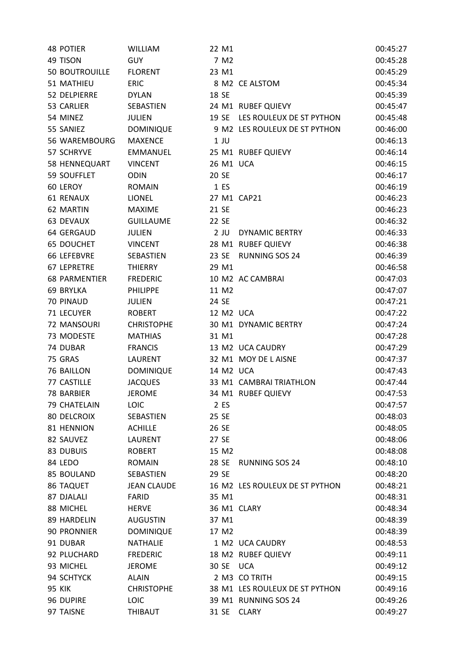| <b>48 POTIER</b>      | <b>WILLIAM</b>     | 22 M1     |                                | 00:45:27 |
|-----------------------|--------------------|-----------|--------------------------------|----------|
| 49 TISON              | <b>GUY</b>         | 7 M2      |                                | 00:45:28 |
| <b>50 BOUTROUILLE</b> | <b>FLORENT</b>     | 23 M1     |                                | 00:45:29 |
| 51 MATHIEU            | <b>ERIC</b>        |           | 8 M2 CE ALSTOM                 | 00:45:34 |
| 52 DELPIERRE          | <b>DYLAN</b>       | 18 SE     |                                | 00:45:39 |
| 53 CARLIER            | SEBASTIEN          |           | 24 M1 RUBEF QUIEVY             | 00:45:47 |
| 54 MINEZ              | <b>JULIEN</b>      |           | 19 SE LES ROULEUX DE ST PYTHON | 00:45:48 |
| 55 SANIEZ             | <b>DOMINIQUE</b>   |           | 9 M2 LES ROULEUX DE ST PYTHON  | 00:46:00 |
| 56 WAREMBOURG         | <b>MAXENCE</b>     | $1$ JU    |                                | 00:46:13 |
| 57 SCHRYVE            | <b>EMMANUEL</b>    |           | 25 M1 RUBEF QUIEVY             | 00:46:14 |
| 58 HENNEQUART         | <b>VINCENT</b>     | 26 M1 UCA |                                | 00:46:15 |
| 59 SOUFFLET           | <b>ODIN</b>        | 20 SE     |                                | 00:46:17 |
| 60 LEROY              | <b>ROMAIN</b>      | 1 ES      |                                | 00:46:19 |
| <b>61 RENAUX</b>      | <b>LIONEL</b>      |           | 27 M1 CAP21                    | 00:46:23 |
| 62 MARTIN             | <b>MAXIME</b>      | 21 SE     |                                | 00:46:23 |
| 63 DEVAUX             | <b>GUILLAUME</b>   | 22 SE     |                                | 00:46:32 |
| 64 GERGAUD            | <b>JULIEN</b>      | $2$ JU    | <b>DYNAMIC BERTRY</b>          | 00:46:33 |
| <b>65 DOUCHET</b>     | <b>VINCENT</b>     |           | 28 M1 RUBEF QUIEVY             | 00:46:38 |
| 66 LEFEBVRE           | SEBASTIEN          | 23 SE     | <b>RUNNING SOS 24</b>          | 00:46:39 |
| 67 LEPRETRE           | <b>THIERRY</b>     | 29 M1     |                                | 00:46:58 |
| <b>68 PARMENTIER</b>  | <b>FREDERIC</b>    |           | 10 M2 AC CAMBRAI               | 00:47:03 |
| 69 BRYLKA             | <b>PHILIPPE</b>    | 11 M2     |                                | 00:47:07 |
| 70 PINAUD             | <b>JULIEN</b>      | 24 SE     |                                | 00:47:21 |
| 71 LECUYER            | <b>ROBERT</b>      | 12 M2 UCA |                                | 00:47:22 |
| 72 MANSOURI           | <b>CHRISTOPHE</b>  |           | 30 M1 DYNAMIC BERTRY           | 00:47:24 |
| 73 MODESTE            | <b>MATHIAS</b>     | 31 M1     |                                | 00:47:28 |
| 74 DUBAR              | <b>FRANCIS</b>     |           | 13 M2 UCA CAUDRY               | 00:47:29 |
| 75 GRAS               | <b>LAURENT</b>     |           | 32 M1 MOY DE LAISNE            | 00:47:37 |
| 76 BAILLON            | <b>DOMINIQUE</b>   | 14 M2 UCA |                                | 00:47:43 |
| 77 CASTILLE           | <b>JACQUES</b>     |           | 33 M1 CAMBRAI TRIATHLON        | 00:47:44 |
| 78 BARBIER            | <b>JEROME</b>      |           | 34 M1 RUBEF QUIEVY             | 00:47:53 |
| 79 CHATELAIN          | <b>LOIC</b>        | 2 ES      |                                | 00:47:57 |
| <b>80 DELCROIX</b>    | SEBASTIEN          | 25 SE     |                                | 00:48:03 |
| 81 HENNION            | <b>ACHILLE</b>     | 26 SE     |                                | 00:48:05 |
| 82 SAUVEZ             | <b>LAURENT</b>     | 27 SE     |                                | 00:48:06 |
| 83 DUBUIS             | <b>ROBERT</b>      | 15 M2     |                                | 00:48:08 |
| 84 LEDO               | <b>ROMAIN</b>      | 28 SE     | <b>RUNNING SOS 24</b>          | 00:48:10 |
| 85 BOULAND            | SEBASTIEN          | 29 SE     |                                | 00:48:20 |
| 86 TAQUET             | <b>JEAN CLAUDE</b> |           | 16 M2 LES ROULEUX DE ST PYTHON | 00:48:21 |
| 87 DJALALI            | FARID              | 35 M1     |                                | 00:48:31 |
| 88 MICHEL             | <b>HERVE</b>       |           | 36 M1 CLARY                    | 00:48:34 |
| 89 HARDELIN           | <b>AUGUSTIN</b>    | 37 M1     |                                | 00:48:39 |
| 90 PRONNIER           | <b>DOMINIQUE</b>   | 17 M2     |                                | 00:48:39 |
| 91 DUBAR              | <b>NATHALIE</b>    |           | 1 M2 UCA CAUDRY                | 00:48:53 |
| 92 PLUCHARD           | <b>FREDERIC</b>    |           | 18 M2 RUBEF QUIEVY             | 00:49:11 |
| 93 MICHEL             | <b>JEROME</b>      | 30 SE     | <b>UCA</b>                     | 00:49:12 |
| 94 SCHTYCK            | <b>ALAIN</b>       |           | 2 M3 CO TRITH                  | 00:49:15 |
| <b>95 KIK</b>         | <b>CHRISTOPHE</b>  |           | 38 M1 LES ROULEUX DE ST PYTHON | 00:49:16 |
| 96 DUPIRE             | LOIC               |           | 39 M1 RUNNING SOS 24           | 00:49:26 |
| 97 TAISNE             | THIBAUT            |           | 31 SE CLARY                    | 00:49:27 |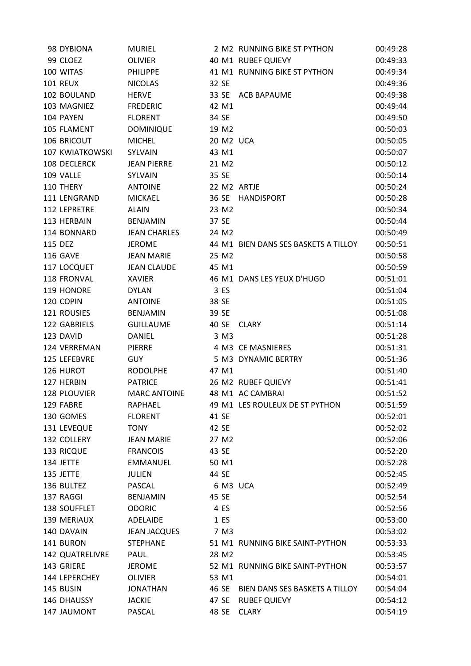| 98 DYBIONA             | <b>MURIEL</b>       |       |       | 2 M2 RUNNING BIKE ST PYTHON          | 00:49:28 |
|------------------------|---------------------|-------|-------|--------------------------------------|----------|
| 99 CLOEZ               | <b>OLIVIER</b>      |       |       | 40 M1 RUBEF QUIEVY                   | 00:49:33 |
| 100 WITAS              | <b>PHILIPPE</b>     |       |       | 41 M1 RUNNING BIKE ST PYTHON         | 00:49:34 |
| <b>101 REUX</b>        | <b>NICOLAS</b>      | 32 SE |       |                                      | 00:49:36 |
| 102 BOULAND            | <b>HERVE</b>        |       |       | 33 SE ACB BAPAUME                    | 00:49:38 |
| 103 MAGNIEZ            | <b>FREDERIC</b>     |       | 42 M1 |                                      | 00:49:44 |
| 104 PAYEN              | <b>FLORENT</b>      | 34 SE |       |                                      | 00:49:50 |
| 105 FLAMENT            | <b>DOMINIQUE</b>    |       | 19 M2 |                                      | 00:50:03 |
| 106 BRICOUT            | <b>MICHEL</b>       |       |       | 20 M2 UCA                            | 00:50:05 |
| 107 KWIATKOWSKI        | <b>SYLVAIN</b>      |       | 43 M1 |                                      | 00:50:07 |
| 108 DECLERCK           | <b>JEAN PIERRE</b>  |       | 21 M2 |                                      | 00:50:12 |
| 109 VALLE              | SYLVAIN             | 35 SE |       |                                      | 00:50:14 |
| 110 THERY              | <b>ANTOINE</b>      |       |       | 22 M2 ARTJE                          | 00:50:24 |
| 111 LENGRAND           | <b>MICKAEL</b>      |       | 36 SE | <b>HANDISPORT</b>                    | 00:50:28 |
| 112 LEPRETRE           | <b>ALAIN</b>        |       | 23 M2 |                                      | 00:50:34 |
| 113 HERBAIN            | <b>BENJAMIN</b>     | 37 SE |       |                                      | 00:50:44 |
| 114 BONNARD            | <b>JEAN CHARLES</b> |       | 24 M2 |                                      | 00:50:49 |
| 115 DEZ                | <b>JEROME</b>       |       |       | 44 M1 BIEN DANS SES BASKETS A TILLOY | 00:50:51 |
| 116 GAVE               | <b>JEAN MARIE</b>   |       | 25 M2 |                                      | 00:50:58 |
| 117 LOCQUET            | <b>JEAN CLAUDE</b>  |       | 45 M1 |                                      | 00:50:59 |
| 118 FRONVAL            | <b>XAVIER</b>       |       |       | 46 M1 DANS LES YEUX D'HUGO           | 00:51:01 |
| 119 HONORE             | <b>DYLAN</b>        |       | 3 ES  |                                      | 00:51:04 |
| 120 COPIN              | <b>ANTOINE</b>      | 38 SE |       |                                      | 00:51:05 |
| 121 ROUSIES            | <b>BENJAMIN</b>     | 39 SE |       |                                      | 00:51:08 |
| 122 GABRIELS           | <b>GUILLAUME</b>    | 40 SE |       | <b>CLARY</b>                         | 00:51:14 |
| 123 DAVID              | <b>DANIEL</b>       |       | 3 M3  |                                      | 00:51:28 |
| 124 VERREMAN           | PIERRE              |       |       | 4 M3 CE MASNIERES                    | 00:51:31 |
| 125 LEFEBVRE           | <b>GUY</b>          |       |       | 5 M3 DYNAMIC BERTRY                  | 00:51:36 |
| 126 HUROT              | <b>RODOLPHE</b>     |       | 47 M1 |                                      | 00:51:40 |
| 127 HERBIN             | <b>PATRICE</b>      |       |       | 26 M2 RUBEF QUIEVY                   | 00:51:41 |
| 128 PLOUVIER           | <b>MARC ANTOINE</b> |       |       | 48 M1 AC CAMBRAI                     | 00:51:52 |
| 129 FABRE              | RAPHAEL             |       |       | 49 M1 LES ROULEUX DE ST PYTHON       | 00:51:59 |
| 130 GOMES              | <b>FLORENT</b>      | 41 SE |       |                                      | 00:52:01 |
| 131 LEVEQUE            | <b>TONY</b>         | 42 SE |       |                                      | 00:52:02 |
| 132 COLLERY            | <b>JEAN MARIE</b>   |       | 27 M2 |                                      | 00:52:06 |
| 133 RICQUE             | <b>FRANCOIS</b>     | 43 SE |       |                                      | 00:52:20 |
| 134 JETTE              | <b>EMMANUEL</b>     |       | 50 M1 |                                      | 00:52:28 |
| 135 JETTE              | <b>JULIEN</b>       | 44 SE |       |                                      | 00:52:45 |
| 136 BULTEZ             | PASCAL              |       |       | 6 M3 UCA                             | 00:52:49 |
| 137 RAGGI              | <b>BENJAMIN</b>     | 45 SE |       |                                      | 00:52:54 |
| 138 SOUFFLET           | <b>ODORIC</b>       |       | 4 ES  |                                      | 00:52:56 |
| 139 MERIAUX            | ADELAIDE            |       | 1 ES  |                                      | 00:53:00 |
| 140 DAVAIN             | <b>JEAN JACQUES</b> |       | 7 M3  |                                      | 00:53:02 |
| 141 BURON              | <b>STEPHANE</b>     |       |       | 51 M1 RUNNING BIKE SAINT-PYTHON      | 00:53:33 |
| <b>142 QUATRELIVRE</b> | PAUL                |       | 28 M2 |                                      | 00:53:45 |
| 143 GRIERE             | <b>JEROME</b>       |       |       | 52 M1 RUNNING BIKE SAINT-PYTHON      | 00:53:57 |
| 144 LEPERCHEY          | <b>OLIVIER</b>      |       | 53 M1 |                                      | 00:54:01 |
| 145 BUSIN              | <b>JONATHAN</b>     |       | 46 SE | BIEN DANS SES BASKETS A TILLOY       | 00:54:04 |
| 146 DHAUSSY            | <b>JACKIE</b>       |       | 47 SE | <b>RUBEF QUIEVY</b>                  | 00:54:12 |
| 147 JAUMONT            | PASCAL              |       | 48 SE | <b>CLARY</b>                         | 00:54:19 |
|                        |                     |       |       |                                      |          |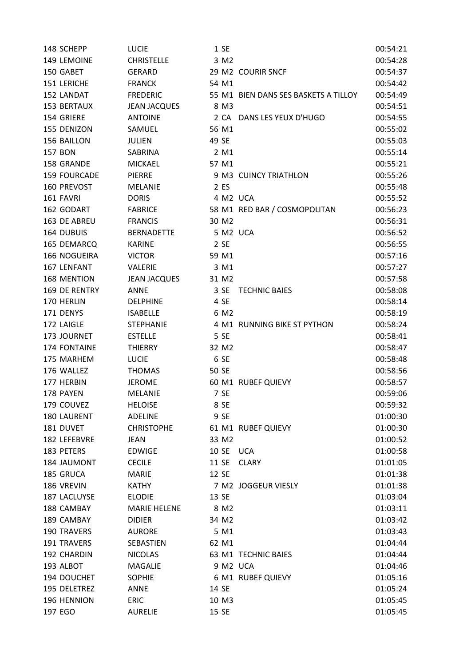| 148 SCHEPP         | <b>LUCIE</b>        |       | 1 SE             |                                      | 00:54:21 |
|--------------------|---------------------|-------|------------------|--------------------------------------|----------|
| 149 LEMOINE        | <b>CHRISTELLE</b>   |       | 3 M2             |                                      | 00:54:28 |
| 150 GABET          | <b>GERARD</b>       |       |                  | 29 M2 COURIR SNCF                    | 00:54:37 |
| 151 LERICHE        | <b>FRANCK</b>       |       | 54 M1            |                                      | 00:54:42 |
| 152 LANDAT         | <b>FREDERIC</b>     |       |                  | 55 M1 BIEN DANS SES BASKETS A TILLOY | 00:54:49 |
| 153 BERTAUX        | <b>JEAN JACQUES</b> |       | 8 M3             |                                      | 00:54:51 |
| 154 GRIERE         | <b>ANTOINE</b>      |       |                  | 2 CA DANS LES YEUX D'HUGO            | 00:54:55 |
| 155 DENIZON        | SAMUEL              |       | 56 M1            |                                      | 00:55:02 |
| 156 BAILLON        | <b>JULIEN</b>       | 49 SE |                  |                                      | 00:55:03 |
| <b>157 BON</b>     | SABRINA             |       | 2 M1             |                                      | 00:55:14 |
| 158 GRANDE         | <b>MICKAEL</b>      |       | 57 M1            |                                      | 00:55:21 |
| 159 FOURCADE       | PIERRE              |       |                  | 9 M3 CUINCY TRIATHLON                | 00:55:26 |
| 160 PREVOST        | <b>MELANIE</b>      |       | 2 ES             |                                      | 00:55:48 |
| 161 FAVRI          | <b>DORIS</b>        |       |                  | 4 M2 UCA                             | 00:55:52 |
| 162 GODART         | <b>FABRICE</b>      |       |                  | 58 M1 RED BAR / COSMOPOLITAN         | 00:56:23 |
| 163 DE ABREU       | <b>FRANCIS</b>      |       | 30 M2            |                                      | 00:56:31 |
| 164 DUBUIS         | <b>BERNADETTE</b>   |       |                  | 5 M2 UCA                             | 00:56:52 |
| 165 DEMARCQ        | <b>KARINE</b>       |       | 2 SE             |                                      | 00:56:55 |
| 166 NOGUEIRA       | <b>VICTOR</b>       |       | 59 M1            |                                      | 00:57:16 |
| 167 LENFANT        | <b>VALERIE</b>      |       | 3 M1             |                                      | 00:57:27 |
| 168 MENTION        | <b>JEAN JACQUES</b> |       | 31 M2            |                                      | 00:57:58 |
| 169 DE RENTRY      | ANNE                |       | 3 SE             | <b>TECHNIC BAIES</b>                 | 00:58:08 |
| 170 HERLIN         | <b>DELPHINE</b>     |       | 4 SE             |                                      | 00:58:14 |
| 171 DENYS          | <b>ISABELLE</b>     |       | 6 M <sub>2</sub> |                                      | 00:58:19 |
| 172 LAIGLE         | <b>STEPHANIE</b>    |       |                  | 4 M1 RUNNING BIKE ST PYTHON          | 00:58:24 |
| 173 JOURNET        | <b>ESTELLE</b>      |       | 5 SE             |                                      | 00:58:41 |
| 174 FONTAINE       | <b>THIERRY</b>      |       | 32 M2            |                                      | 00:58:47 |
| 175 MARHEM         | <b>LUCIE</b>        |       | 6 SE             |                                      | 00:58:48 |
| 176 WALLEZ         | <b>THOMAS</b>       | 50 SE |                  |                                      | 00:58:56 |
| 177 HERBIN         | <b>JEROME</b>       |       |                  | 60 M1 RUBEF QUIEVY                   | 00:58:57 |
| 178 PAYEN          | <b>MELANIE</b>      |       | 7 SE             |                                      | 00:59:06 |
| 179 COUVEZ         | <b>HELOISE</b>      |       | 8 SE             |                                      | 00:59:32 |
| 180 LAURENT        | <b>ADELINE</b>      |       | 9 SE             |                                      | 01:00:30 |
| 181 DUVET          | <b>CHRISTOPHE</b>   |       |                  | 61 M1 RUBEF QUIEVY                   | 01:00:30 |
| 182 LEFEBVRE       | <b>JEAN</b>         |       | 33 M2            |                                      | 01:00:52 |
| 183 PETERS         | EDWIGE              | 10 SE |                  | <b>UCA</b>                           | 01:00:58 |
| 184 JAUMONT        | <b>CECILE</b>       | 11 SE |                  | <b>CLARY</b>                         | 01:01:05 |
| 185 GRUCA          | <b>MARIE</b>        | 12 SE |                  |                                      | 01:01:38 |
| 186 VREVIN         | <b>KATHY</b>        |       |                  | 7 M2 JOGGEUR VIESLY                  | 01:01:38 |
| 187 LACLUYSE       | <b>ELODIE</b>       | 13 SE |                  |                                      | 01:03:04 |
| 188 CAMBAY         | <b>MARIE HELENE</b> |       | 8 M <sub>2</sub> |                                      | 01:03:11 |
| 189 CAMBAY         | <b>DIDIER</b>       |       | 34 M2            |                                      | 01:03:42 |
| <b>190 TRAVERS</b> | <b>AURORE</b>       |       | 5 M1             |                                      | 01:03:43 |
| 191 TRAVERS        | SEBASTIEN           |       | 62 M1            |                                      | 01:04:44 |
| 192 CHARDIN        | <b>NICOLAS</b>      |       |                  | 63 M1 TECHNIC BAIES                  | 01:04:44 |
| 193 ALBOT          | <b>MAGALIE</b>      |       |                  | 9 M2 UCA                             | 01:04:46 |
| 194 DOUCHET        | <b>SOPHIE</b>       |       |                  | 6 M1 RUBEF QUIEVY                    | 01:05:16 |
| 195 DELETREZ       | ANNE                | 14 SE |                  |                                      | 01:05:24 |
| 196 HENNION        | <b>ERIC</b>         |       | 10 M3            |                                      | 01:05:45 |
| 197 EGO            | <b>AURELIE</b>      | 15 SE |                  |                                      | 01:05:45 |